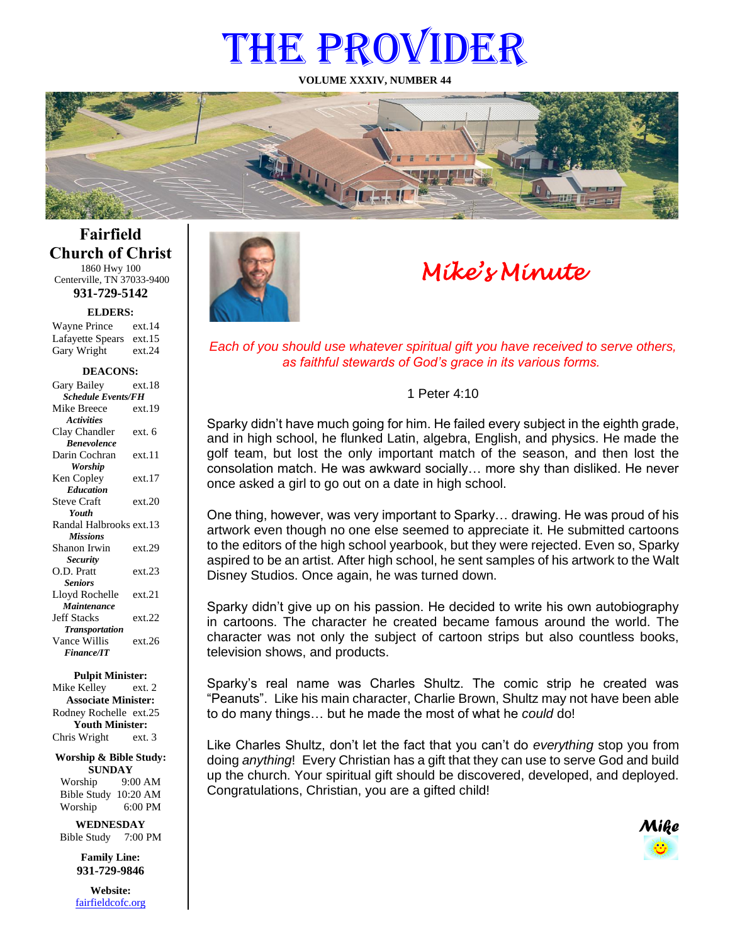# THE PROVIDER

**VOLUME XXXIV, NUMBER 44**



# **Fairfield Church of Christ** 1860 Hwy 100

Centerville, TN 37033-9400 **931-729-5142**

**ELDERS:**

Gary Wright ext.24 Wayne Prince ext.14 Lafayette Spears ext.15

#### **DEACONS:**

| Gary Bailey               | ext.18 |  |
|---------------------------|--------|--|
| <b>Schedule Events/FH</b> |        |  |
| Mike Breece               | ext.19 |  |
| <b>Activities</b>         |        |  |
| Clay Chandler             | ext. 6 |  |
| <b>Benevolence</b>        |        |  |
| Darin Cochran             | ext.11 |  |
| <b>Worship</b>            |        |  |
| Ken Copley                | ext.17 |  |
| <b>Education</b>          |        |  |
| <b>Steve Craft</b>        | ext.20 |  |
| Youth                     |        |  |
| Randal Halbrooks ext.13   |        |  |
| <b>Missions</b>           |        |  |
| Shanon Irwin              | ext.29 |  |
| <b>Security</b>           |        |  |
| O.D. Pratt                | ext.23 |  |
| <b>Seniors</b>            |        |  |
| Lloyd Rochelle            | ext.21 |  |
| Maintenance               |        |  |
| <b>Jeff Stacks</b>        | ext.22 |  |
| <b>Transportation</b>     |        |  |
| Vance Willis              | ext.26 |  |
| <b>Finance/IT</b>         |        |  |

#### **Pulpit Minister:**

Mike Kelley ext. 2 **Associate Minister:** Rodney Rochelle ext.25 **Youth Minister:** Chris Wright ext. 3

**Worship & Bible Study: SUNDAY** Worship 9:00 AM

Bible Study 10:20 AM Worship 6:00 PM

**WEDNESDAY** Bible Study 7:00 PM

> **Family Line: 931-729-9846**

**Website:** [fairfieldcofc.org](file:///C:/Users/RickJoyce/Documents/Fairfield%20Website%20Files/fairfieldchurchofchrist.org)



# *Mike's Minute*

*Each of you should use whatever spiritual gift you have received to serve others, as faithful stewards of God's grace in its various forms.*

#### 1 Peter 4:10

Sparky didn't have much going for him. He failed every subject in the eighth grade, and in high school, he flunked Latin, algebra, English, and physics. He made the golf team, but lost the only important match of the season, and then lost the consolation match. He was awkward socially… more shy than disliked. He never once asked a girl to go out on a date in high school.

One thing, however, was very important to Sparky… drawing. He was proud of his artwork even though no one else seemed to appreciate it. He submitted cartoons to the editors of the high school yearbook, but they were rejected. Even so, Sparky aspired to be an artist. After high school, he sent samples of his artwork to the Walt Disney Studios. Once again, he was turned down.

Sparky didn't give up on his passion. He decided to write his own autobiography in cartoons. The character he created became famous around the world. The character was not only the subject of cartoon strips but also countless books, television shows, and products.

Sparky's real name was Charles Shultz. The comic strip he created was "Peanuts". Like his main character, Charlie Brown, Shultz may not have been able to do many things… but he made the most of what he *could* do!

Like Charles Shultz, don't let the fact that you can't do *everything* stop you from doing *anything*! Every Christian has a gift that they can use to serve God and build up the church. Your spiritual gift should be discovered, developed, and deployed. Congratulations, Christian, you are a gifted child!

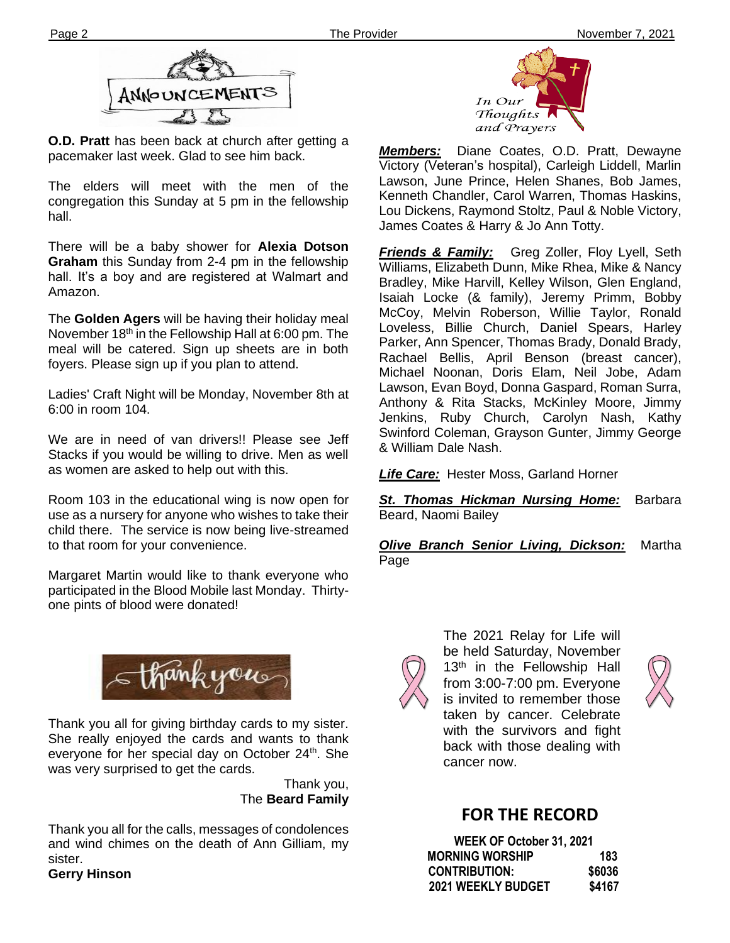

**O.D. Pratt** has been back at church after getting a pacemaker last week. Glad to see him back.

The elders will meet with the men of the congregation this Sunday at 5 pm in the fellowship hall.

**Ther** There will be a baby shower for **Alexia Dotson Graham** this Sunday from 2-4 pm in the fellowship hall. It's a boy and are registered at Walmart and Amazon.

The **Golden Agers** will be having their holiday meal November 18<sup>th</sup> in the Fellowship Hall at 6:00 pm. The meal will be catered. Sign up sheets are in both foyers. Please sign up if you plan to attend.

Ladies' Craft Night will be Monday, November 8th at 6:00 in room 104.

We are in need of van drivers!! Please see Jeff Stacks if you would be willing to drive. Men as well as women are asked to help out with this.

Room 103 in the educational wing is now open for use as a nursery for anyone who wishes to take their child there. The service is now being live-streamed to that room for your convenience.

Margaret Martin would like to thank everyone who participated in the Blood Mobile last Monday. Thirtyone pints of blood were donated!



Thank you all for giving birthday cards to my sister. She really enjoyed the cards and wants to thank everyone for her special day on October 24<sup>th</sup>. She was very surprised to get the cards.

> Thank you, The **Beard Family**

Thank you all for the calls, messages of condolences and wind chimes on the death of Ann Gilliam, my sister.

**Gerry Hinson**



*Members:* Diane Coates, O.D. Pratt, Dewayne Victory (Veteran's hospital), Carleigh Liddell, Marlin Lawson, June Prince, Helen Shanes, Bob James, Kenneth Chandler, Carol Warren, Thomas Haskins, Lou Dickens, Raymond Stoltz, Paul & Noble Victory, James Coates & Harry & Jo Ann Totty.

*Friends & Family:* Greg Zoller, Floy Lyell, Seth Williams, Elizabeth Dunn, Mike Rhea, Mike & Nancy Bradley, Mike Harvill, Kelley Wilson, Glen England, Isaiah Locke (& family), Jeremy Primm, Bobby McCoy, Melvin Roberson, Willie Taylor, Ronald Loveless, Billie Church, Daniel Spears, Harley Parker, Ann Spencer, Thomas Brady, Donald Brady, Rachael Bellis, April Benson (breast cancer), Michael Noonan, Doris Elam, Neil Jobe, Adam Lawson, Evan Boyd, Donna Gaspard, Roman Surra, Anthony & Rita Stacks, McKinley Moore, Jimmy Jenkins, Ruby Church, Carolyn Nash, Kathy Swinford Coleman, Grayson Gunter, Jimmy George & William Dale Nash.

*Life Care:* Hester Moss, Garland Horner

*St. Thomas Hickman Nursing Home:* Barbara Beard, Naomi Bailey

*Olive Branch Senior Living, Dickson:* Martha Page



The 2021 Relay for Life will be held Saturday, November 13<sup>th</sup> in the Fellowship Hall from 3:00-7:00 pm. Everyone is invited to remember those taken by cancer. Celebrate with the survivors and fight back with those dealing with cancer now.



# **FOR THE RECORD**

| WEEK OF October 31, 2021  |        |
|---------------------------|--------|
| <b>MORNING WORSHIP</b>    | 183    |
| <b>CONTRIBUTION:</b>      | \$6036 |
| <b>2021 WEEKLY BUDGET</b> | \$4167 |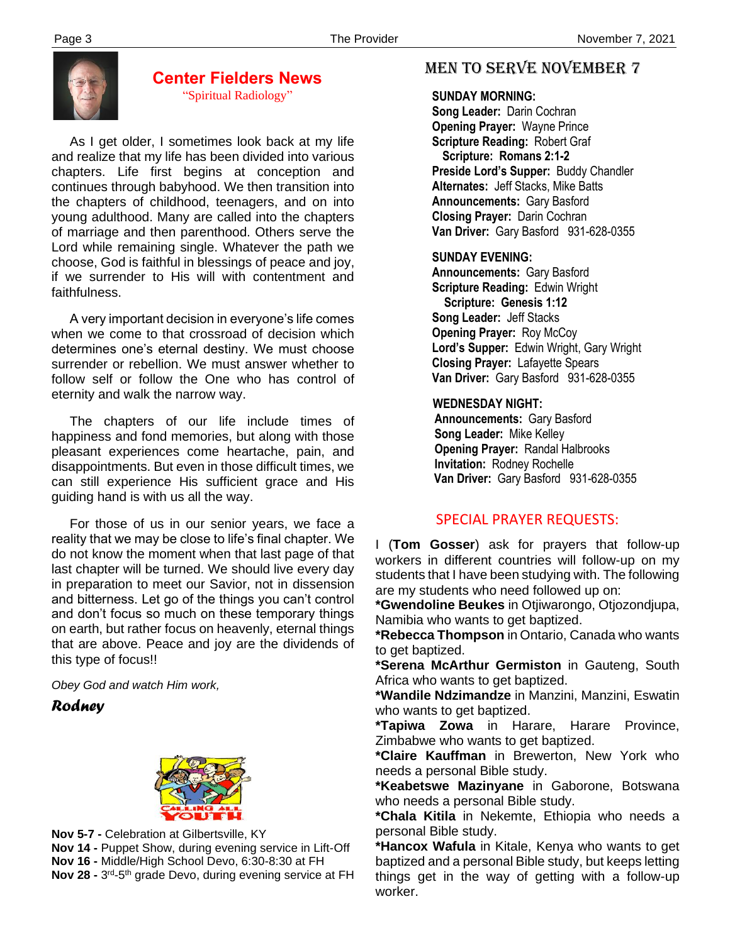

#### **Center Fielders News** "Spiritual Radiology"

 As I get older, I sometimes look back at my life and realize that my life has been divided into various chapters. Life first begins at conception and continues through babyhood. We then transition into the chapters of childhood, teenagers, and on into young adulthood. Many are called into the chapters of marriage and then parenthood. Others serve the Lord while remaining single. Whatever the path we choose, God is faithful in blessings of peace and joy, if we surrender to His will with contentment and faithfulness.

 A very important decision in everyone's life comes when we come to that crossroad of decision which determines one's eternal destiny. We must choose surrender or rebellion. We must answer whether to follow self or follow the One who has control of eternity and walk the narrow way.

 The chapters of our life include times of happiness and fond memories, but along with those pleasant experiences come heartache, pain, and disappointments. But even in those difficult times, we can still experience His sufficient grace and His guiding hand is with us all the way.

 For those of us in our senior years, we face a reality that we may be close to life's final chapter. We do not know the moment when that last page of that last chapter will be turned. We should live every day in preparation to meet our Savior, not in dissension and bitterness. Let go of the things you can't control and don't focus so much on these temporary things on earth, but rather focus on heavenly, eternal things that are above. Peace and joy are the dividends of this type of focus!!

*Obey God and watch Him work,*

*Rodney*



 **Nov 14 -** Puppet Show, during evening service in Lift-Off **Nov 5-7 -** Celebration at Gilbertsville, KY **Nov 16 -** Middle/High School Devo, 6:30-8:30 at FH **Nov 28 -** 3<sup>rd</sup>-5<sup>th</sup> grade Devo, during evening service at FH

# MEN TO SERVE November 7

#### **SUNDAY MORNING:**

**Song Leader:** Darin Cochran  **Opening Prayer:** Wayne Prince **Scripture Reading:** Robert Graf  **Scripture: Romans 2:1-2 Preside Lord's Supper:** Buddy Chandler  **Alternates:** Jeff Stacks, Mike Batts  **Announcements:** Gary Basford  **Closing Prayer:** Darin Cochran **Van Driver:** Gary Basford 931-628-0355

#### **SUNDAY EVENING:**

**Announcements:** Gary Basford **Scripture Reading:** Edwin Wright  **Scripture: Genesis 1:12 Song Leader:** Jeff Stacks **Opening Prayer:** Roy McCoy **Lord's Supper:** Edwin Wright, Gary Wright **Closing Prayer:** Lafayette Spears **Van Driver:** Gary Basford 931-628-0355

#### **WEDNESDAY NIGHT:**

**Announcements:** Gary Basford **Song Leader:** Mike Kelley **Opening Prayer:** Randal Halbrooks **Invitation:** Rodney Rochelle  **Van Driver:** Gary Basford 931-628-0355

### SPECIAL PRAYER REQUESTS:

I (**Tom Gosser**) ask for prayers that follow-up workers in different countries will follow-up on my students that I have been studying with. The following are my students who need followed up on:

**\*Gwendoline Beukes** in Otjiwarongo, Otjozondjupa, Namibia who wants to get baptized.

**\*Rebecca Thompson** in Ontario, Canada who wants to get baptized.

**\*Serena McArthur Germiston** in Gauteng, South Africa who wants to get baptized.

**\*Wandile Ndzimandze** in Manzini, Manzini, Eswatin who wants to get baptized.

**\*Tapiwa Zowa** in Harare, Harare Province, Zimbabwe who wants to get baptized.

**\*Claire Kauffman** in Brewerton, New York who needs a personal Bible study.

**\*Keabetswe Mazinyane** in Gaborone, Botswana who needs a personal Bible study.

**\*Chala Kitila** in Nekemte, Ethiopia who needs a personal Bible study.

**\*Hancox Wafula** in Kitale, Kenya who wants to get baptized and a personal Bible study, but keeps letting things get in the way of getting with a follow-up worker.